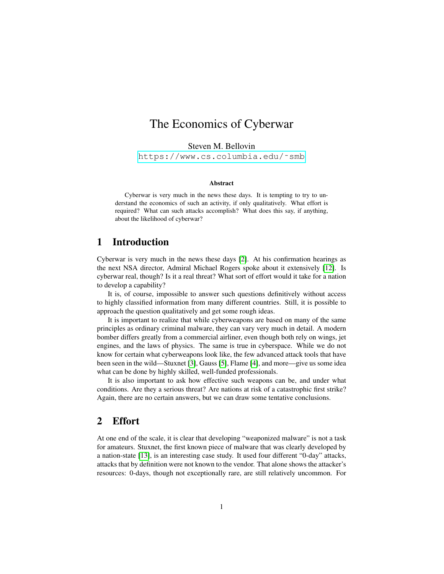# The Economics of Cyberwar

Steven M. Bellovin

[https://www.cs.columbia.edu/˜smb](https://www.cs.columbia.edu/~smb)

#### Abstract

Cyberwar is very much in the news these days. It is tempting to try to understand the economics of such an activity, if only qualitatively. What effort is required? What can such attacks accomplish? What does this say, if anything, about the likelihood of cyberwar?

# 1 Introduction

Cyberwar is very much in the news these days [\[2\]](#page-4-0). At his confirmation hearings as the next NSA director, Admiral Michael Rogers spoke about it extensively [\[12\]](#page-4-1). Is cyberwar real, though? Is it a real threat? What sort of effort would it take for a nation to develop a capability?

It is, of course, impossible to answer such questions definitively without access to highly classified information from many different countries. Still, it is possible to approach the question qualitatively and get some rough ideas.

It is important to realize that while cyberweapons are based on many of the same principles as ordinary criminal malware, they can vary very much in detail. A modern bomber differs greatly from a commercial airliner, even though both rely on wings, jet engines, and the laws of physics. The same is true in cyberspace. While we do not know for certain what cyberweapons look like, the few advanced attack tools that have been seen in the wild—Stuxnet [\[3\]](#page-4-2), Gauss [\[5\]](#page-4-3), Flame [\[4\]](#page-4-4), and more—give us some idea what can be done by highly skilled, well-funded professionals.

It is also important to ask how effective such weapons can be, and under what conditions. Are they a serious threat? Are nations at risk of a catastrophic first strike? Again, there are no certain answers, but we can draw some tentative conclusions.

### 2 Effort

At one end of the scale, it is clear that developing "weaponized malware" is not a task for amateurs. Stuxnet, the first known piece of malware that was clearly developed by a nation-state [\[13\]](#page-4-5), is an interesting case study. It used four different "0-day" attacks, attacks that by definition were not known to the vendor. That alone shows the attacker's resources: 0-days, though not exceptionally rare, are still relatively uncommon. For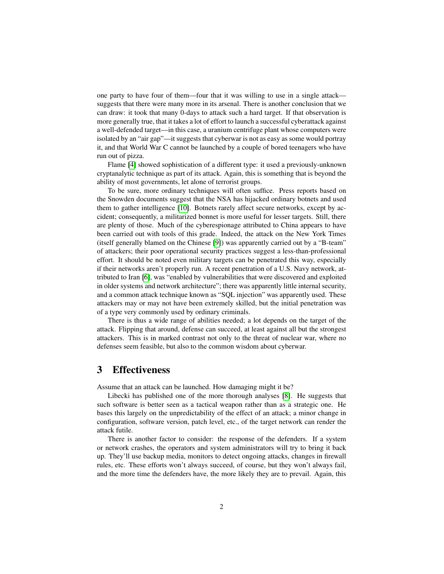one party to have four of them—four that it was willing to use in a single attack suggests that there were many more in its arsenal. There is another conclusion that we can draw: it took that many 0-days to attack such a hard target. If that observation is more generally true, that it takes a lot of effort to launch a successful cyberattack against a well-defended target—in this case, a uranium centrifuge plant whose computers were isolated by an "air gap"—it suggests that cyberwar is not as easy as some would portray it, and that World War C cannot be launched by a couple of bored teenagers who have run out of pizza.

Flame [\[4\]](#page-4-4) showed sophistication of a different type: it used a previously-unknown cryptanalytic technique as part of its attack. Again, this is something that is beyond the ability of most governments, let alone of terrorist groups.

To be sure, more ordinary techniques will often suffice. Press reports based on the Snowden documents suggest that the NSA has hijacked ordinary botnets and used them to gather intelligence [\[10\]](#page-4-6). Botnets rarely affect secure networks, except by accident; consequently, a militarized bonnet is more useful for lesser targets. Still, there are plenty of those. Much of the cyberespionage attributed to China appears to have been carried out with tools of this grade. Indeed, the attack on the New York Times (itself generally blamed on the Chinese [\[9\]](#page-4-7)) was apparently carried out by a "B-team" of attackers; their poor operational security practices suggest a less-than-professional effort. It should be noted even military targets can be penetrated this way, especially if their networks aren't properly run. A recent penetration of a U.S. Navy network, attributed to Iran [\[6\]](#page-4-8), was "enabled by vulnerabilities that were discovered and exploited in older systems and network architecture"; there was apparently little internal security, and a common attack technique known as "SQL injection" was apparently used. These attackers may or may not have been extremely skilled, but the initial penetration was of a type very commonly used by ordinary criminals.

There is thus a wide range of abilities needed; a lot depends on the target of the attack. Flipping that around, defense can succeed, at least against all but the strongest attackers. This is in marked contrast not only to the threat of nuclear war, where no defenses seem feasible, but also to the common wisdom about cyberwar.

# 3 Effectiveness

Assume that an attack can be launched. How damaging might it be?

Libecki has published one of the more thorough analyses [\[8\]](#page-4-9). He suggests that such software is better seen as a tactical weapon rather than as a strategic one. He bases this largely on the unpredictability of the effect of an attack; a minor change in configuration, software version, patch level, etc., of the target network can render the attack futile.

There is another factor to consider: the response of the defenders. If a system or network crashes, the operators and system administrators will try to bring it back up. They'll use backup media, monitors to detect ongoing attacks, changes in firewall rules, etc. These efforts won't always succeed, of course, but they won't always fail, and the more time the defenders have, the more likely they are to prevail. Again, this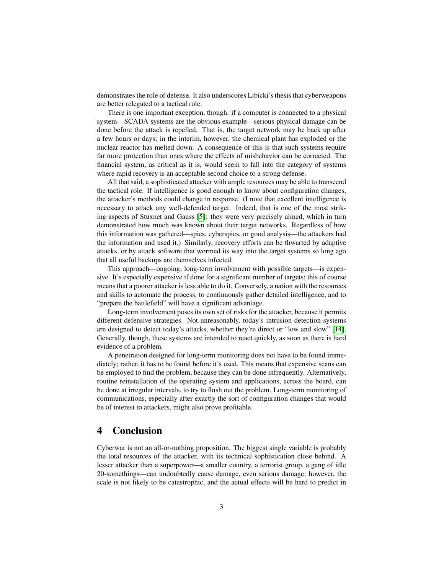demonstrates the role of defense. It also underscores Libicki's thesis that cyberweapons are better relegated to a tactical role.

There is one important exception, though: if a computer is connected to a physical system—SCADA systems are the obvious example—serious physical damage can be done before the attack is repelled. That is, the target network may be back up after a few hours or days; in the interim, however, the chemical plant has exploded or the nuclear reactor has melted down. A consequence of this is that such systems require far more protection than ones where the effects of misbehavior can be corrected. The financial system, as critical as it is, would seem to fall into the category of systems where rapid recovery is an acceptable second choice to a strong defense.

All that said, a sophisticated attacker with ample resources may be able to transcend the tactical role. If intelligence is good enough to know about configuration changes, the attacker's methods could change in response. (I note that excellent intelligence is necessary to attack any well-defended target. Indeed, that is one of the most striking aspects of Stuxnet and Gauss [\[5\]](#page-4-3): they were very precisely aimed, which in turn demonstrated how much was known about their target networks. Regardless of how this information was gathered—spies, cyberspies, or good analysis—the attackers had the information and used it.) Similarly, recovery efforts can be thwarted by adaptive attacks, or by attack software that wormed its way into the target systems so long ago that all useful backups are themselves infected.

This approach—ongoing, long-term involvement with possible targets—is expensive. It's especially expensive if done for a significant number of targets; this of course means that a poorer attacker is less able to do it. Conversely, a nation with the resources and skills to automate the process, to continuously gather detailed intelligence, and to "prepare the battlefield" will have a significant advantage.

Long-term involvement poses its own set of risks for the attacker, because it permits different defensive strategies. Not unreasonably, today's intrusion detection systems are designed to detect today's attacks, whether they're direct or "low and slow" [\[14\]](#page-4-10). Generally, though, these systems are intended to react quickly, as soon as there is hard evidence of a problem.

A penetration designed for long-term monitoring does not have to be found immediately; rather, it has to be found before it's used. This means that expensive scans can be employed to find the problem, because they can be done infrequently. Alternatively, routine reinstallation of the operating system and applications, across the board, can be done at irregular intervals, to try to flush out the problem. Long-term monitoring of communications, especially after exactly the sort of configuration changes that would be of interest to attackers, might also prove profitable.

# 4 Conclusion

Cyberwar is not an all-or-nothing proposition. The biggest single variable is probably the total resources of the attacker, with its technical sophistication close behind. A lesser attacker than a superpower—a smaller country, a terrorist group, a gang of idle 20-somethings—can undoubtedly cause damage, even serious damage; however, the scale is not likely to be catastrophic, and the actual effects will be hard to predict in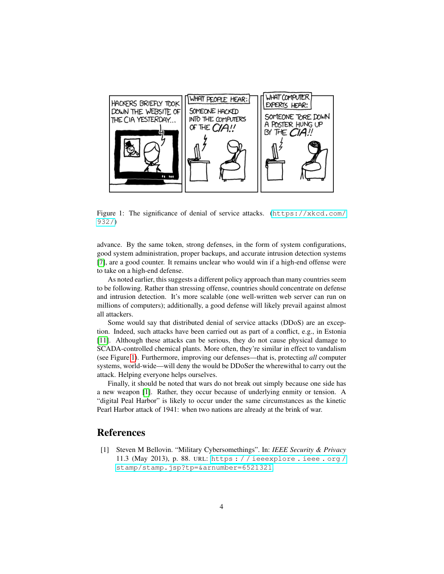

<span id="page-3-0"></span>Figure 1: The significance of denial of service attacks. ([https://xkcd.com/](https://xkcd.com/932/) [932/](https://xkcd.com/932/))

advance. By the same token, strong defenses, in the form of system configurations, good system administration, proper backups, and accurate intrusion detection systems [\[7\]](#page-4-11), are a good counter. It remains unclear who would win if a high-end offense were to take on a high-end defense.

As noted earlier, this suggests a different policy approach than many countries seem to be following. Rather than stressing offense, countries should concentrate on defense and intrusion detection. It's more scalable (one well-written web server can run on millions of computers); additionally, a good defense will likely prevail against almost all attackers.

Some would say that distributed denial of service attacks (DDoS) are an exception. Indeed, such attacks have been carried out as part of a conflict, e.g., in Estonia [\[11\]](#page-4-12). Although these attacks can be serious, they do not cause physical damage to SCADA-controlled chemical plants. More often, they're similar in effect to vandalism (see Figure [1\)](#page-3-0). Furthermore, improving our defenses—that is, protecting *all* computer systems, world-wide—will deny the would be DDoSer the wherewithal to carry out the attack. Helping everyone helps ourselves.

Finally, it should be noted that wars do not break out simply because one side has a new weapon [\[1\]](#page-3-1). Rather, they occur because of underlying enmity or tension. A "digital Peal Harbor" is likely to occur under the same circumstances as the kinetic Pearl Harbor attack of 1941: when two nations are already at the brink of war.

#### References

<span id="page-3-1"></span>[1] Steven M Bellovin. "Military Cybersomethings". In: *IEEE Security & Privacy* 11.3 (May 2013), p. 88. URL: [https : / / ieeexplore . ieee . org /](https://ieeexplore.ieee.org/stamp/stamp.jsp?tp=&arnumber=6521321) [stamp/stamp.jsp?tp=&arnumber=6521321](https://ieeexplore.ieee.org/stamp/stamp.jsp?tp=&arnumber=6521321).